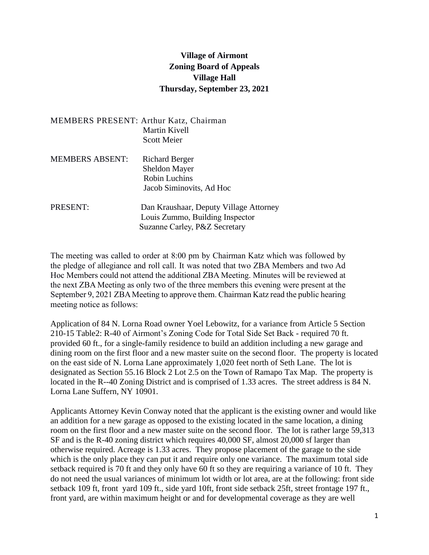## **Village of Airmont Zoning Board of Appeals Village Hall Thursday, September 23, 2021**

|                        | <b>MEMBERS PRESENT: Arthur Katz, Chairman</b><br>Martin Kivell<br><b>Scott Meier</b>                       |
|------------------------|------------------------------------------------------------------------------------------------------------|
| <b>MEMBERS ABSENT:</b> | <b>Richard Berger</b><br><b>Sheldon Mayer</b><br><b>Robin Luchins</b><br>Jacob Siminovits, Ad Hoc          |
| PRESENT:               | Dan Kraushaar, Deputy Village Attorney<br>Louis Zummo, Building Inspector<br>Suzanne Carley, P&Z Secretary |

The meeting was called to order at 8:00 pm by Chairman Katz which was followed by the pledge of allegiance and roll call. It was noted that two ZBA Members and two Ad Hoc Members could not attend the additional ZBA Meeting. Minutes will be reviewed at the next ZBA Meeting as only two of the three members this evening were present at the September 9, 2021 ZBA Meeting to approve them. Chairman Katz read the public hearing meeting notice as follows:

Application of 84 N. Lorna Road owner Yoel Lebowitz, for a variance from Article 5 Section 210-15 Table2: R-40 of Airmont's Zoning Code for Total Side Set Back - required 70 ft. provided 60 ft., for a single-family residence to build an addition including a new garage and dining room on the first floor and a new master suite on the second floor. The property is located on the east side of N. Lorna Lane approximately 1,020 feet north of Seth Lane. The lot is designated as Section 55.16 Block 2 Lot 2.5 on the Town of Ramapo Tax Map. The property is located in the R--40 Zoning District and is comprised of 1.33 acres. The street address is 84 N. Lorna Lane Suffern, NY 10901.

Applicants Attorney Kevin Conway noted that the applicant is the existing owner and would like an addition for a new garage as opposed to the existing located in the same location, a dining room on the first floor and a new master suite on the second floor. The lot is rather large 59,313 SF and is the R-40 zoning district which requires 40,000 SF, almost 20,000 sf larger than otherwise required. Acreage is 1.33 acres. They propose placement of the garage to the side which is the only place they can put it and require only one variance. The maximum total side setback required is 70 ft and they only have 60 ft so they are requiring a variance of 10 ft. They do not need the usual variances of minimum lot width or lot area, are at the following: front side setback 109 ft, front yard 109 ft., side yard 10ft, front side setback 25ft, street frontage 197 ft., front yard, are within maximum height or and for developmental coverage as they are well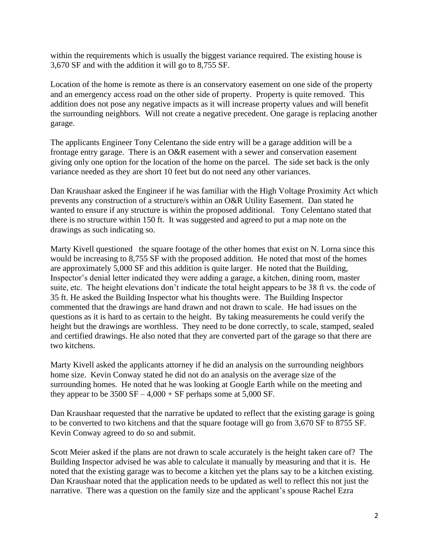within the requirements which is usually the biggest variance required. The existing house is 3,670 SF and with the addition it will go to 8,755 SF.

Location of the home is remote as there is an conservatory easement on one side of the property and an emergency access road on the other side of property. Property is quite removed. This addition does not pose any negative impacts as it will increase property values and will benefit the surrounding neighbors. Will not create a negative precedent. One garage is replacing another garage.

The applicants Engineer Tony Celentano the side entry will be a garage addition will be a frontage entry garage. There is an O&R easement with a sewer and conservation easement giving only one option for the location of the home on the parcel. The side set back is the only variance needed as they are short 10 feet but do not need any other variances.

Dan Kraushaar asked the Engineer if he was familiar with the High Voltage Proximity Act which prevents any construction of a structure/s within an O&R Utility Easement. Dan stated he wanted to ensure if any structure is within the proposed additional. Tony Celentano stated that there is no structure within 150 ft. It was suggested and agreed to put a map note on the drawings as such indicating so.

Marty Kivell questioned the square footage of the other homes that exist on N. Lorna since this would be increasing to 8,755 SF with the proposed addition. He noted that most of the homes are approximately 5,000 SF and this addition is quite larger. He noted that the Building, Inspector's denial letter indicated they were adding a garage, a kitchen, dining room, master suite, etc. The height elevations don't indicate the total height appears to be 38 ft vs. the code of 35 ft. He asked the Building Inspector what his thoughts were. The Building Inspector commented that the drawings are hand drawn and not drawn to scale. He had issues on the questions as it is hard to as certain to the height. By taking measurements he could verify the height but the drawings are worthless. They need to be done correctly, to scale, stamped, sealed and certified drawings. He also noted that they are converted part of the garage so that there are two kitchens.

Marty Kivell asked the applicants attorney if he did an analysis on the surrounding neighbors home size. Kevin Conway stated he did not do an analysis on the average size of the surrounding homes. He noted that he was looking at Google Earth while on the meeting and they appear to be  $3500$  SF  $-4,000 +$  SF perhaps some at  $5,000$  SF.

Dan Kraushaar requested that the narrative be updated to reflect that the existing garage is going to be converted to two kitchens and that the square footage will go from 3,670 SF to 8755 SF. Kevin Conway agreed to do so and submit.

Scott Meier asked if the plans are not drawn to scale accurately is the height taken care of? The Building Inspector advised he was able to calculate it manually by measuring and that it is. He noted that the existing garage was to become a kitchen yet the plans say to be a kitchen existing. Dan Kraushaar noted that the application needs to be updated as well to reflect this not just the narrative. There was a question on the family size and the applicant's spouse Rachel Ezra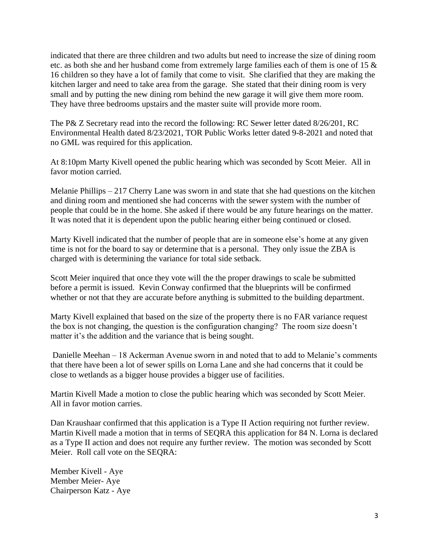indicated that there are three children and two adults but need to increase the size of dining room etc. as both she and her husband come from extremely large families each of them is one of 15 & 16 children so they have a lot of family that come to visit. She clarified that they are making the kitchen larger and need to take area from the garage. She stated that their dining room is very small and by putting the new dining rom behind the new garage it will give them more room. They have three bedrooms upstairs and the master suite will provide more room.

The P& Z Secretary read into the record the following: RC Sewer letter dated 8/26/201, RC Environmental Health dated 8/23/2021, TOR Public Works letter dated 9-8-2021 and noted that no GML was required for this application.

At 8:10pm Marty Kivell opened the public hearing which was seconded by Scott Meier. All in favor motion carried.

Melanie Phillips – 217 Cherry Lane was sworn in and state that she had questions on the kitchen and dining room and mentioned she had concerns with the sewer system with the number of people that could be in the home. She asked if there would be any future hearings on the matter. It was noted that it is dependent upon the public hearing either being continued or closed.

Marty Kivell indicated that the number of people that are in someone else's home at any given time is not for the board to say or determine that is a personal. They only issue the ZBA is charged with is determining the variance for total side setback.

Scott Meier inquired that once they vote will the the proper drawings to scale be submitted before a permit is issued. Kevin Conway confirmed that the blueprints will be confirmed whether or not that they are accurate before anything is submitted to the building department.

Marty Kivell explained that based on the size of the property there is no FAR variance request the box is not changing, the question is the configuration changing? The room size doesn't matter it's the addition and the variance that is being sought.

Danielle Meehan – 18 Ackerman Avenue sworn in and noted that to add to Melanie's comments that there have been a lot of sewer spills on Lorna Lane and she had concerns that it could be close to wetlands as a bigger house provides a bigger use of facilities.

Martin Kivell Made a motion to close the public hearing which was seconded by Scott Meier. All in favor motion carries.

Dan Kraushaar confirmed that this application is a Type II Action requiring not further review. Martin Kivell made a motion that in terms of SEQRA this application for 84 N. Lorna is declared as a Type II action and does not require any further review. The motion was seconded by Scott Meier. Roll call vote on the SEQRA:

Member Kivell - Aye Member Meier- Aye Chairperson Katz - Aye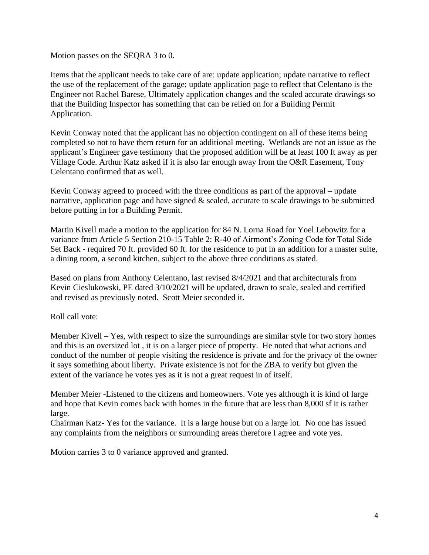Motion passes on the SEQRA 3 to 0.

Items that the applicant needs to take care of are: update application; update narrative to reflect the use of the replacement of the garage; update application page to reflect that Celentano is the Engineer not Rachel Barese, Ultimately application changes and the scaled accurate drawings so that the Building Inspector has something that can be relied on for a Building Permit Application.

Kevin Conway noted that the applicant has no objection contingent on all of these items being completed so not to have them return for an additional meeting. Wetlands are not an issue as the applicant's Engineer gave testimony that the proposed addition will be at least 100 ft away as per Village Code. Arthur Katz asked if it is also far enough away from the O&R Easement, Tony Celentano confirmed that as well.

Kevin Conway agreed to proceed with the three conditions as part of the approval – update narrative, application page and have signed  $\&$  sealed, accurate to scale drawings to be submitted before putting in for a Building Permit.

Martin Kivell made a motion to the application for 84 N. Lorna Road for Yoel Lebowitz for a variance from Article 5 Section 210-15 Table 2: R-40 of Airmont's Zoning Code for Total Side Set Back - required 70 ft. provided 60 ft. for the residence to put in an addition for a master suite, a dining room, a second kitchen, subject to the above three conditions as stated.

Based on plans from Anthony Celentano, last revised 8/4/2021 and that architecturals from Kevin Cieslukowski, PE dated 3/10/2021 will be updated, drawn to scale, sealed and certified and revised as previously noted. Scott Meier seconded it.

Roll call vote:

Member Kivell – Yes, with respect to size the surroundings are similar style for two story homes and this is an oversized lot , it is on a larger piece of property. He noted that what actions and conduct of the number of people visiting the residence is private and for the privacy of the owner it says something about liberty. Private existence is not for the ZBA to verify but given the extent of the variance he votes yes as it is not a great request in of itself.

Member Meier -Listened to the citizens and homeowners. Vote yes although it is kind of large and hope that Kevin comes back with homes in the future that are less than 8,000 sf it is rather large.

Chairman Katz- Yes for the variance. It is a large house but on a large lot. No one has issued any complaints from the neighbors or surrounding areas therefore I agree and vote yes.

Motion carries 3 to 0 variance approved and granted.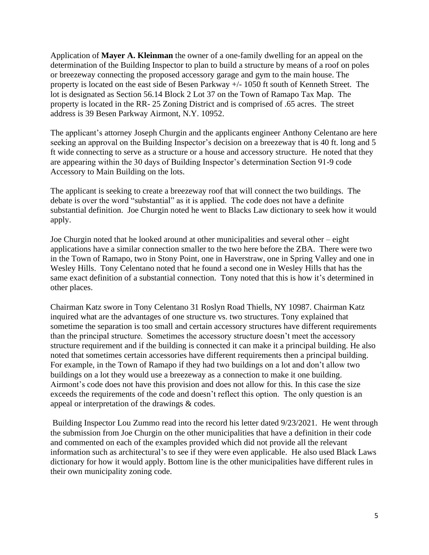Application of **Mayer A. Kleinman** the owner of a one-family dwelling for an appeal on the determination of the Building Inspector to plan to build a structure by means of a roof on poles or breezeway connecting the proposed accessory garage and gym to the main house. The property is located on the east side of Besen Parkway +/- 1050 ft south of Kenneth Street. The lot is designated as Section 56.14 Block 2 Lot 37 on the Town of Ramapo Tax Map. The property is located in the RR- 25 Zoning District and is comprised of .65 acres. The street address is 39 Besen Parkway Airmont, N.Y. 10952.

The applicant's attorney Joseph Churgin and the applicants engineer Anthony Celentano are here seeking an approval on the Building Inspector's decision on a breezeway that is 40 ft. long and 5 ft wide connecting to serve as a structure or a house and accessory structure. He noted that they are appearing within the 30 days of Building Inspector's determination Section 91-9 code Accessory to Main Building on the lots.

The applicant is seeking to create a breezeway roof that will connect the two buildings. The debate is over the word "substantial" as it is applied. The code does not have a definite substantial definition. Joe Churgin noted he went to Blacks Law dictionary to seek how it would apply.

Joe Churgin noted that he looked around at other municipalities and several other – eight applications have a similar connection smaller to the two here before the ZBA. There were two in the Town of Ramapo, two in Stony Point, one in Haverstraw, one in Spring Valley and one in Wesley Hills. Tony Celentano noted that he found a second one in Wesley Hills that has the same exact definition of a substantial connection. Tony noted that this is how it's determined in other places.

Chairman Katz swore in Tony Celentano 31 Roslyn Road Thiells, NY 10987. Chairman Katz inquired what are the advantages of one structure vs. two structures. Tony explained that sometime the separation is too small and certain accessory structures have different requirements than the principal structure. Sometimes the accessory structure doesn't meet the accessory structure requirement and if the building is connected it can make it a principal building. He also noted that sometimes certain accessories have different requirements then a principal building. For example, in the Town of Ramapo if they had two buildings on a lot and don't allow two buildings on a lot they would use a breezeway as a connection to make it one building. Airmont's code does not have this provision and does not allow for this. In this case the size exceeds the requirements of the code and doesn't reflect this option. The only question is an appeal or interpretation of the drawings & codes.

Building Inspector Lou Zummo read into the record his letter dated 9/23/2021. He went through the submission from Joe Churgin on the other municipalities that have a definition in their code and commented on each of the examples provided which did not provide all the relevant information such as architectural's to see if they were even applicable. He also used Black Laws dictionary for how it would apply. Bottom line is the other municipalities have different rules in their own municipality zoning code.